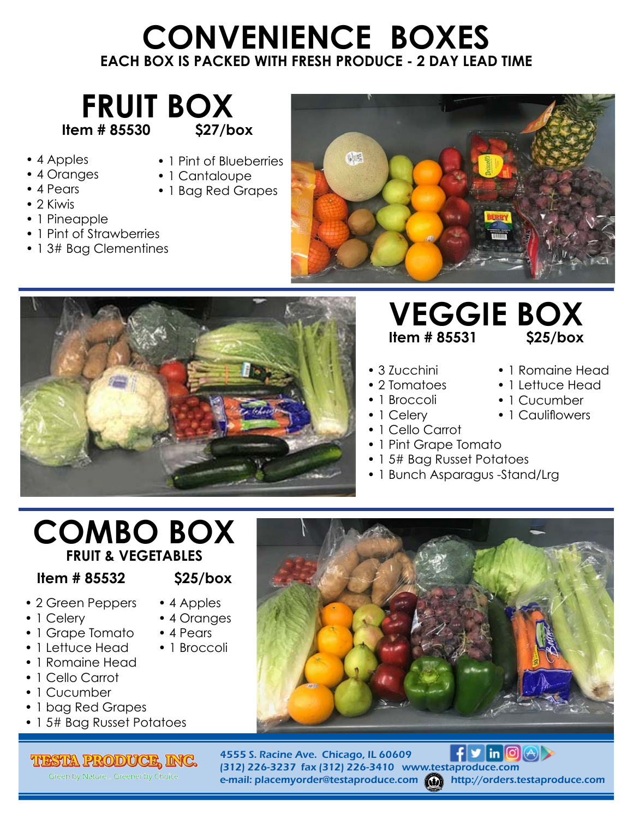# **CONVENIENCE BOXES EACH BOX IS PACKED WITH FRESH PRODUCE - 2 DAY LEAD TIME**



- 4 Apples
- 4 Oranges
- 4 Pears
- 1 Pint of Blueberries • 1 Cantaloupe
- 1 Bag Red Grapes
- 2 Kiwis
- 1 Pineapple
- 1 Pint of Strawberries
- 13# Bag Clementines





## **VEGGIE BOX**<br>Item # 85531 S25/box **Item # 85531**

• 1 Romaine Head • 1 Lettuce Head • 1 Cucumber • 1 Cauliflowers

- 3 Zucchini
- 2 Tomatoes
- 1 Broccoli
- 1 Celery
- 1 Cello Carrot
- 1 Pint Grape Tomato
- 1 5# Bag Russet Potatoes
- 1 Bunch Asparagus -Stand/Lrg

# **COMBO BOX FRUIT & VEGETABLES**

### **Item # 85532 \$25/box**

• 4 Apples • 4 Oranges • 4 Pears

- 2 Green Peppers
- 1 Celery
- 1 Grape Tomato
- 1 Lettuce Head • 1 Broccoli
- 1 Romaine Head
- 1 Cello Carrot
- 1 Cucumber
- 1 bag Red Grapes
- 1 5# Bag Russet Potatoes

#### **TESTA PRODUCE, INC.**

Green by Nature... Greener by Choice



 $f \triangleright \ln|\mathbb{O}(\triangle)|$ 4555 S. Racine Ave. Chicago, IL 60609 (312) 226-3237 fax (312) 226-3410 www.testaproduce.com e-mail: placemyorder@testaproduce.com (a) http://orders.testaproduce.com